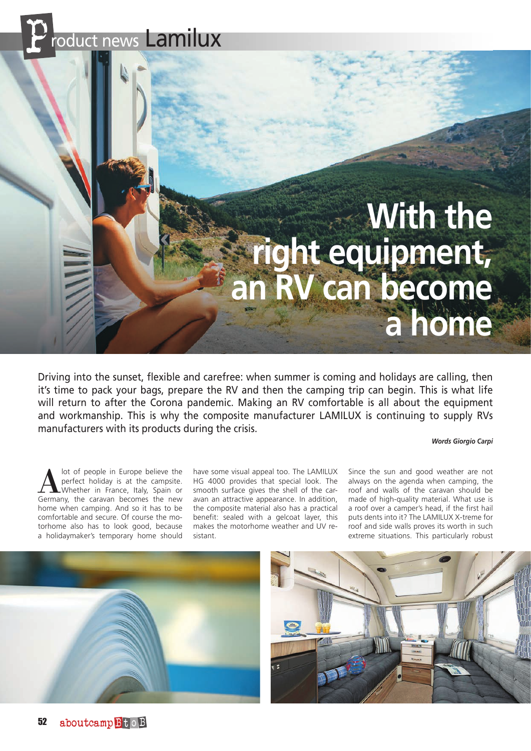# roduct news Lamilux

# **With the right equipment, an RV can become a home**

Driving into the sunset, flexible and carefree: when summer is coming and holidays are calling, then it's time to pack your bags, prepare the RV and then the camping trip can begin. This is what life will return to after the Corona pandemic. Making an RV comfortable is all about the equipment and workmanship. This is why the composite manufacturer LAMILUX is continuing to supply RVs manufacturers with its products during the crisis.

#### *Words Giorgio Carpi*

lot of people in Europe believe the perfect holiday is at the campsite. Whether in France, Italy, Spain or Germany, the caravan becomes the new home when camping. And so it has to be comfortable and secure. Of course the motorhome also has to look good, because a holidaymaker's temporary home should

have some visual appeal too. The LAMILUX HG 4000 provides that special look. The smooth surface gives the shell of the caravan an attractive appearance. In addition, the composite material also has a practical benefit: sealed with a gelcoat layer, this makes the motorhome weather and UV resistant.

Since the sun and good weather are not always on the agenda when camping, the roof and walls of the caravan should be made of high-quality material. What use is a roof over a camper's head, if the first hail puts dents into it? The LAMILUX X-treme for roof and side walls proves its worth in such extreme situations. This particularly robust